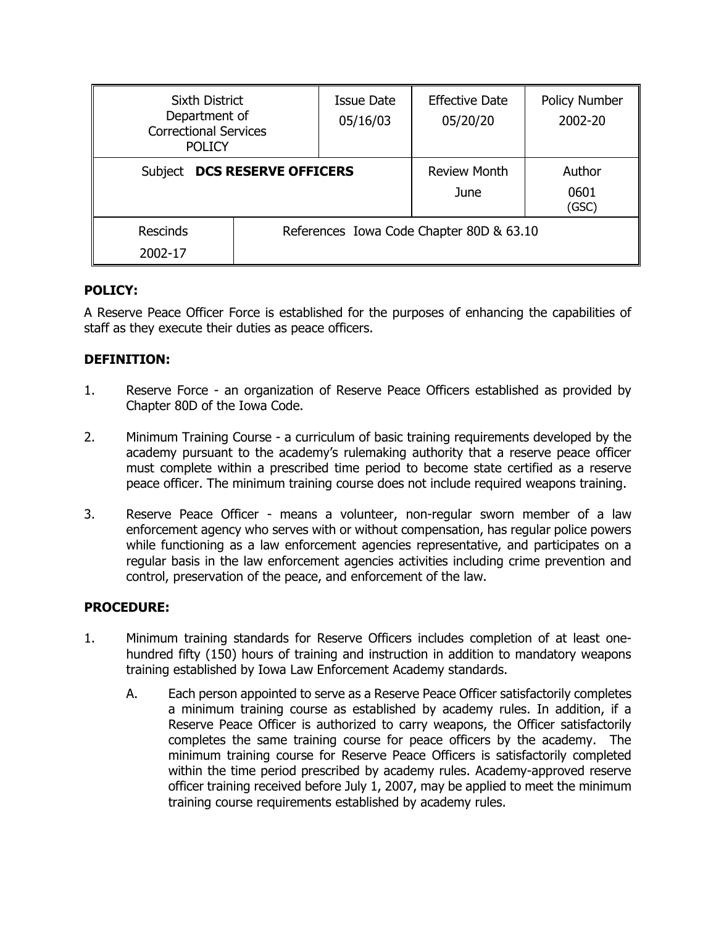| <b>Sixth District</b><br>Department of<br><b>Correctional Services</b><br><b>POLICY</b> |  | <b>Issue Date</b><br>05/16/03            | <b>Effective Date</b><br>05/20/20 | <b>Policy Number</b><br>2002-20 |
|-----------------------------------------------------------------------------------------|--|------------------------------------------|-----------------------------------|---------------------------------|
| <b>DCS RESERVE OFFICERS</b><br><b>Subject</b>                                           |  |                                          | <b>Review Month</b><br>June       | Author<br>0601<br>(GSC)         |
| <b>Rescinds</b><br>2002-17                                                              |  | References Iowa Code Chapter 80D & 63.10 |                                   |                                 |

## **POLICY:**

A Reserve Peace Officer Force is established for the purposes of enhancing the capabilities of staff as they execute their duties as peace officers.

## **DEFINITION:**

- 1. Reserve Force an organization of Reserve Peace Officers established as provided by Chapter 80D of the Iowa Code.
- 2. Minimum Training Course a curriculum of basic training requirements developed by the academy pursuant to the academy's rulemaking authority that a reserve peace officer must complete within a prescribed time period to become state certified as a reserve peace officer. The minimum training course does not include required weapons training.
- 3. Reserve Peace Officer means a volunteer, non-regular sworn member of a law enforcement agency who serves with or without compensation, has regular police powers while functioning as a law enforcement agencies representative, and participates on a regular basis in the law enforcement agencies activities including crime prevention and control, preservation of the peace, and enforcement of the law.

### **PROCEDURE:**

- 1. Minimum training standards for Reserve Officers includes completion of at least onehundred fifty (150) hours of training and instruction in addition to mandatory weapons training established by Iowa Law Enforcement Academy standards.
	- A. Each person appointed to serve as a Reserve Peace Officer satisfactorily completes a minimum training course as established by academy rules. In addition, if a Reserve Peace Officer is authorized to carry weapons, the Officer satisfactorily completes the same training course for peace officers by the academy. The minimum training course for Reserve Peace Officers is satisfactorily completed within the time period prescribed by academy rules. Academy-approved reserve officer training received before July 1, 2007, may be applied to meet the minimum training course requirements established by academy rules.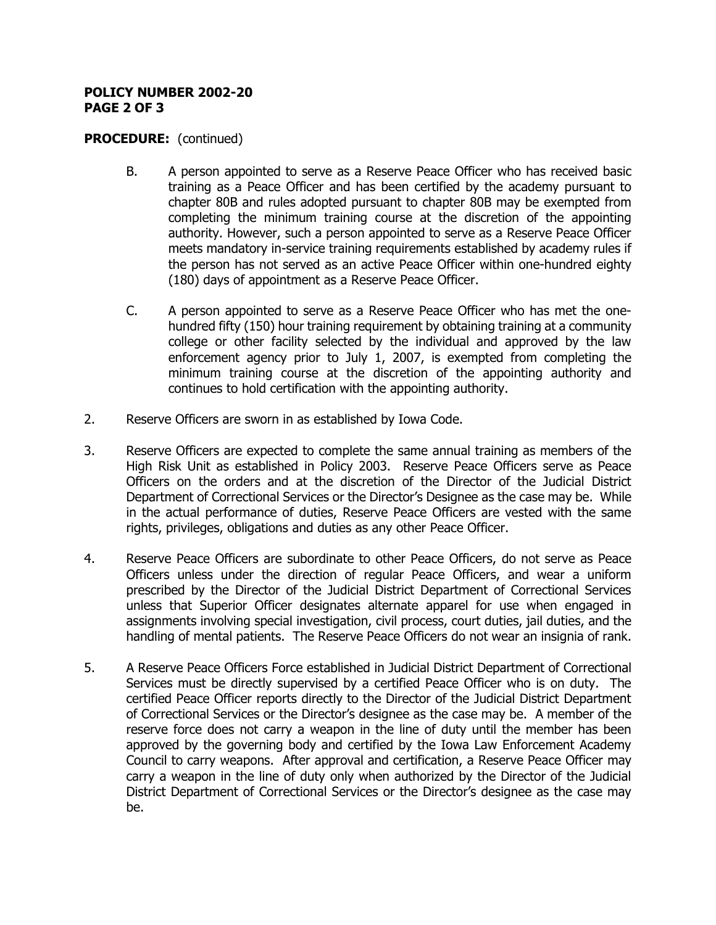#### **POLICY NUMBER 2002-20 PAGE 2 OF 3**

## **PROCEDURE:** (continued)

- B. A person appointed to serve as a Reserve Peace Officer who has received basic training as a Peace Officer and has been certified by the academy pursuant to chapter 80B and rules adopted pursuant to chapter 80B may be exempted from completing the minimum training course at the discretion of the appointing authority. However, such a person appointed to serve as a Reserve Peace Officer meets mandatory in-service training requirements established by academy rules if the person has not served as an active Peace Officer within one-hundred eighty (180) days of appointment as a Reserve Peace Officer.
- C. A person appointed to serve as a Reserve Peace Officer who has met the onehundred fifty (150) hour training requirement by obtaining training at a community college or other facility selected by the individual and approved by the law enforcement agency prior to July 1, 2007, is exempted from completing the minimum training course at the discretion of the appointing authority and continues to hold certification with the appointing authority.
- 2. Reserve Officers are sworn in as established by Iowa Code.
- 3. Reserve Officers are expected to complete the same annual training as members of the High Risk Unit as established in Policy 2003. Reserve Peace Officers serve as Peace Officers on the orders and at the discretion of the Director of the Judicial District Department of Correctional Services or the Director's Designee as the case may be. While in the actual performance of duties, Reserve Peace Officers are vested with the same rights, privileges, obligations and duties as any other Peace Officer.
- 4. Reserve Peace Officers are subordinate to other Peace Officers, do not serve as Peace Officers unless under the direction of regular Peace Officers, and wear a uniform prescribed by the Director of the Judicial District Department of Correctional Services unless that Superior Officer designates alternate apparel for use when engaged in assignments involving special investigation, civil process, court duties, jail duties, and the handling of mental patients. The Reserve Peace Officers do not wear an insignia of rank.
- 5. A Reserve Peace Officers Force established in Judicial District Department of Correctional Services must be directly supervised by a certified Peace Officer who is on duty. The certified Peace Officer reports directly to the Director of the Judicial District Department of Correctional Services or the Director's designee as the case may be. A member of the reserve force does not carry a weapon in the line of duty until the member has been approved by the governing body and certified by the Iowa Law Enforcement Academy Council to carry weapons. After approval and certification, a Reserve Peace Officer may carry a weapon in the line of duty only when authorized by the Director of the Judicial District Department of Correctional Services or the Director's designee as the case may be.